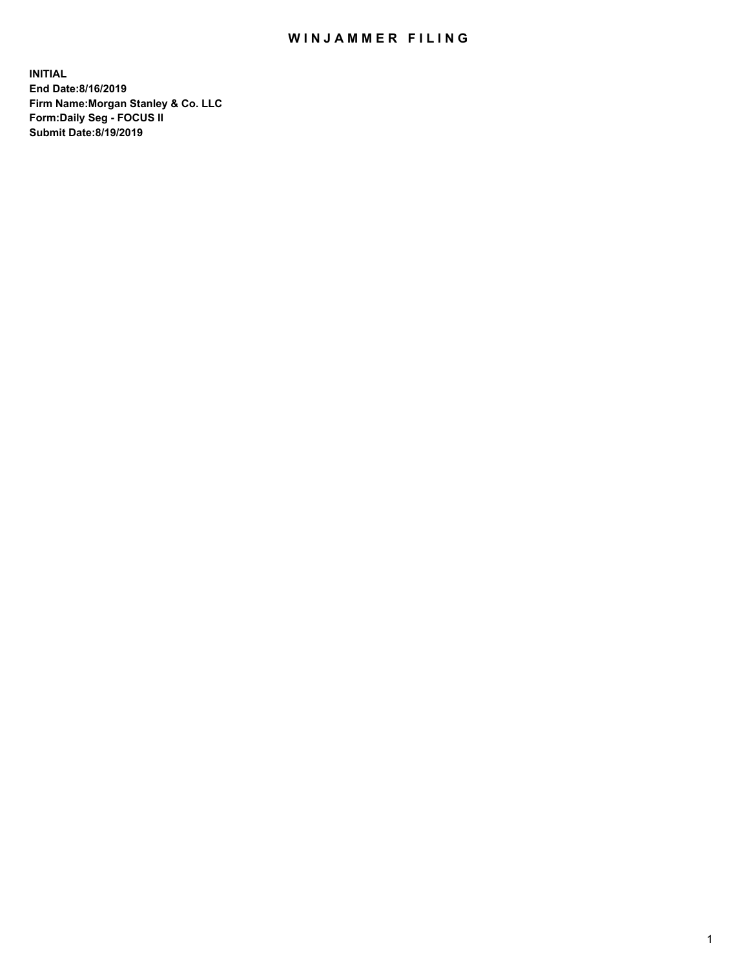## WIN JAMMER FILING

**INITIAL End Date:8/16/2019 Firm Name:Morgan Stanley & Co. LLC Form:Daily Seg - FOCUS II Submit Date:8/19/2019**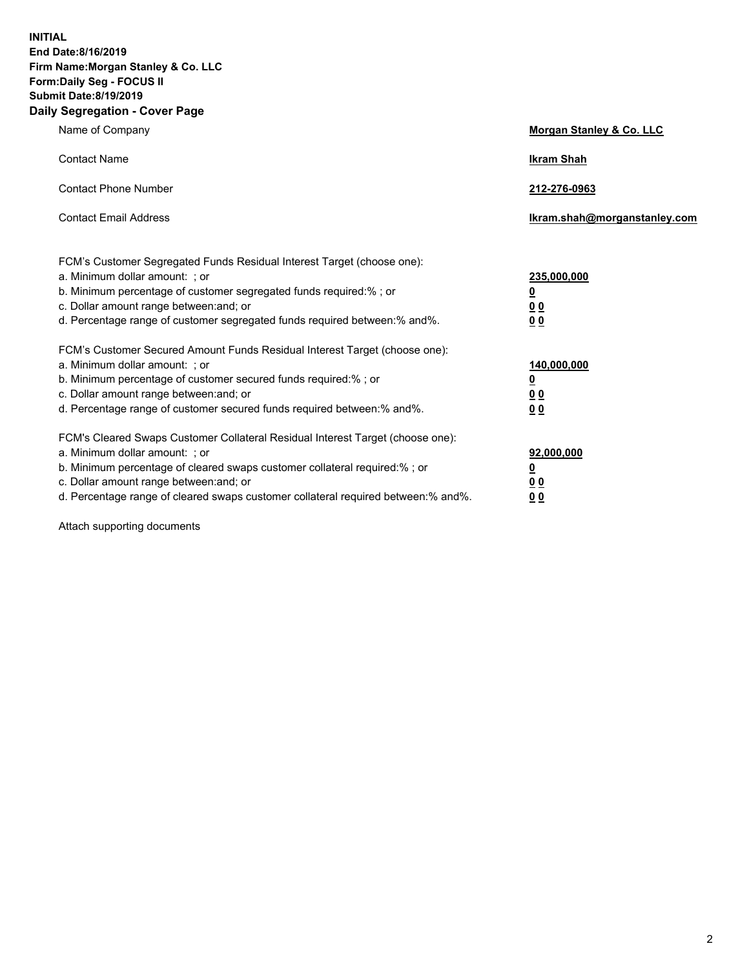**INITIAL End Date:8/16/2019 Firm Name:Morgan Stanley & Co. LLC Form:Daily Seg - FOCUS II Submit Date:8/19/2019 Daily Segregation - Cover Page**

| Name of Company                                                                                                                                                                                                                                                                                                               | Morgan Stanley & Co. LLC                               |
|-------------------------------------------------------------------------------------------------------------------------------------------------------------------------------------------------------------------------------------------------------------------------------------------------------------------------------|--------------------------------------------------------|
| <b>Contact Name</b>                                                                                                                                                                                                                                                                                                           | <b>Ikram Shah</b>                                      |
| <b>Contact Phone Number</b>                                                                                                                                                                                                                                                                                                   | 212-276-0963                                           |
| <b>Contact Email Address</b>                                                                                                                                                                                                                                                                                                  | Ikram.shah@morganstanley.com                           |
| FCM's Customer Segregated Funds Residual Interest Target (choose one):<br>a. Minimum dollar amount: ; or<br>b. Minimum percentage of customer segregated funds required:% ; or<br>c. Dollar amount range between: and; or<br>d. Percentage range of customer segregated funds required between:% and%.                        | 235,000,000<br><u>0</u><br><u>00</u><br>0 <sup>0</sup> |
| FCM's Customer Secured Amount Funds Residual Interest Target (choose one):<br>a. Minimum dollar amount: ; or<br>b. Minimum percentage of customer secured funds required:%; or<br>c. Dollar amount range between: and; or<br>d. Percentage range of customer secured funds required between:% and%.                           | 140,000,000<br><u>0</u><br><u>00</u><br>0 <sub>0</sub> |
| FCM's Cleared Swaps Customer Collateral Residual Interest Target (choose one):<br>a. Minimum dollar amount: ; or<br>b. Minimum percentage of cleared swaps customer collateral required:%; or<br>c. Dollar amount range between: and; or<br>d. Percentage range of cleared swaps customer collateral required between:% and%. | 92,000,000<br><u>0</u><br>0 Q<br>00                    |

Attach supporting documents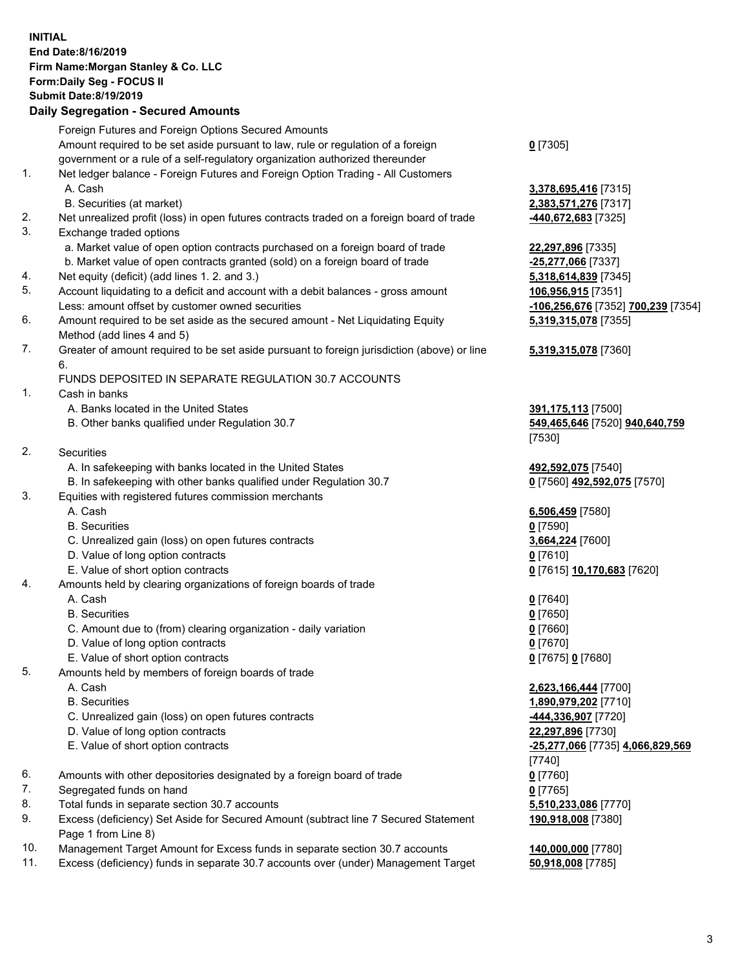## **INITIAL End Date:8/16/2019 Firm Name:Morgan Stanley & Co. LLC Form:Daily Seg - FOCUS II Submit Date:8/19/2019 Daily Segregation - Secured Amounts**

|     | Foreign Futures and Foreign Options Secured Amounts                                                |                                    |
|-----|----------------------------------------------------------------------------------------------------|------------------------------------|
|     | Amount required to be set aside pursuant to law, rule or regulation of a foreign                   | $0$ [7305]                         |
|     | government or a rule of a self-regulatory organization authorized thereunder                       |                                    |
| 1.  | Net ledger balance - Foreign Futures and Foreign Option Trading - All Customers                    |                                    |
|     | A. Cash                                                                                            | 3,378,695,416 [7315]               |
|     | B. Securities (at market)                                                                          | 2,383,571,276 [7317]               |
| 2.  | Net unrealized profit (loss) in open futures contracts traded on a foreign board of trade          | <u>-440,672,683</u> [7325]         |
| 3.  | Exchange traded options                                                                            |                                    |
|     | a. Market value of open option contracts purchased on a foreign board of trade                     | 22,297,896 [7335]                  |
|     | b. Market value of open contracts granted (sold) on a foreign board of trade                       | -25,277,066 [7337]                 |
| 4.  | Net equity (deficit) (add lines 1.2. and 3.)                                                       | 5,318,614,839 [7345]               |
| 5.  | Account liquidating to a deficit and account with a debit balances - gross amount                  | 106,956,915 [7351]                 |
|     | Less: amount offset by customer owned securities                                                   | -106,256,676 [7352] 700,239 [7354] |
| 6.  | Amount required to be set aside as the secured amount - Net Liquidating Equity                     | 5,319,315,078 [7355]               |
|     | Method (add lines 4 and 5)                                                                         |                                    |
| 7.  | Greater of amount required to be set aside pursuant to foreign jurisdiction (above) or line        | 5,319,315,078 [7360]               |
|     | 6.                                                                                                 |                                    |
|     | FUNDS DEPOSITED IN SEPARATE REGULATION 30.7 ACCOUNTS                                               |                                    |
| 1.  | Cash in banks                                                                                      |                                    |
|     | A. Banks located in the United States                                                              | 391,175,113 [7500]                 |
|     | B. Other banks qualified under Regulation 30.7                                                     | 549,465,646 [7520] 940,640,759     |
|     |                                                                                                    | [7530]                             |
| 2.  | Securities                                                                                         |                                    |
|     | A. In safekeeping with banks located in the United States                                          | 492,592,075 [7540]                 |
|     | B. In safekeeping with other banks qualified under Regulation 30.7                                 | 0 [7560] 492,592,075 [7570]        |
| 3.  | Equities with registered futures commission merchants                                              |                                    |
|     | A. Cash                                                                                            | 6,506,459 [7580]                   |
|     | <b>B.</b> Securities                                                                               | $0$ [7590]                         |
|     | C. Unrealized gain (loss) on open futures contracts                                                | 3,664,224 [7600]                   |
|     | D. Value of long option contracts                                                                  | $0$ [7610]                         |
|     | E. Value of short option contracts                                                                 | 0 [7615] 10,170,683 [7620]         |
| 4.  | Amounts held by clearing organizations of foreign boards of trade                                  |                                    |
|     | A. Cash                                                                                            | $0$ [7640]                         |
|     | <b>B.</b> Securities                                                                               | $0$ [7650]                         |
|     | C. Amount due to (from) clearing organization - daily variation                                    | $0$ [7660]                         |
|     | D. Value of long option contracts                                                                  | $0$ [7670]                         |
|     | E. Value of short option contracts                                                                 | 0 [7675] 0 [7680]                  |
| 5.  | Amounts held by members of foreign boards of trade                                                 |                                    |
|     | A. Cash                                                                                            | 2,623,166,444 [7700]               |
|     | <b>B.</b> Securities                                                                               | 1,890,979,202 [7710]               |
|     | C. Unrealized gain (loss) on open futures contracts                                                | 444,336,907 [7720]                 |
|     | D. Value of long option contracts                                                                  | 22,297,896 [7730]                  |
|     | E. Value of short option contracts                                                                 | -25,277,066 [7735] 4,066,829,569   |
|     |                                                                                                    | [7740]                             |
| 6.  | Amounts with other depositories designated by a foreign board of trade                             | $0$ [7760]                         |
| 7.  | Segregated funds on hand                                                                           | $0$ [7765]                         |
| 8.  | Total funds in separate section 30.7 accounts                                                      | 5,510,233,086 [7770]               |
| 9.  | Excess (deficiency) Set Aside for Secured Amount (subtract line 7 Secured Statement                | 190,918,008 [7380]                 |
| 10. | Page 1 from Line 8)<br>Management Target Amount for Excess funds in separate section 30.7 accounts | 140,000,000 [7780]                 |
|     |                                                                                                    |                                    |

11. Excess (deficiency) funds in separate 30.7 accounts over (under) Management Target **50,918,008** [7785]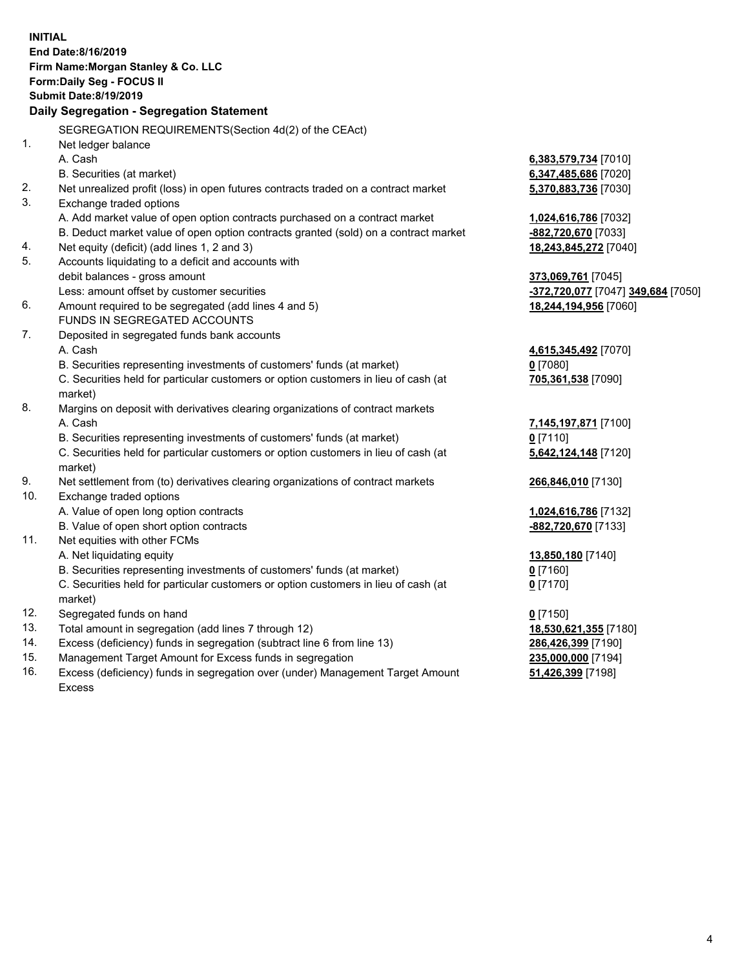|                | <b>INITIAL</b><br>End Date:8/16/2019<br>Firm Name: Morgan Stanley & Co. LLC<br>Form: Daily Seg - FOCUS II<br><b>Submit Date: 8/19/2019</b> |                                    |
|----------------|--------------------------------------------------------------------------------------------------------------------------------------------|------------------------------------|
|                | Daily Segregation - Segregation Statement                                                                                                  |                                    |
|                | SEGREGATION REQUIREMENTS(Section 4d(2) of the CEAct)                                                                                       |                                    |
| 1 <sub>1</sub> | Net ledger balance                                                                                                                         |                                    |
|                | A. Cash                                                                                                                                    | 6,383,579,734 [7010]               |
|                | B. Securities (at market)                                                                                                                  | 6,347,485,686 [7020]               |
| 2.             | Net unrealized profit (loss) in open futures contracts traded on a contract market                                                         | 5,370,883,736 [7030]               |
| 3.             | Exchange traded options                                                                                                                    |                                    |
|                | A. Add market value of open option contracts purchased on a contract market                                                                | 1,024,616,786 [7032]               |
|                | B. Deduct market value of open option contracts granted (sold) on a contract market                                                        | -882,720,670 [7033]                |
| 4.             | Net equity (deficit) (add lines 1, 2 and 3)                                                                                                | 18,243,845,272 [7040]              |
| 5.             | Accounts liquidating to a deficit and accounts with                                                                                        |                                    |
|                | debit balances - gross amount                                                                                                              | 373,069,761 [7045]                 |
|                | Less: amount offset by customer securities                                                                                                 | -372,720,077 [7047] 349,684 [7050] |
| 6.             | Amount required to be segregated (add lines 4 and 5)                                                                                       | 18,244,194,956 [7060]              |
|                | FUNDS IN SEGREGATED ACCOUNTS                                                                                                               |                                    |
| 7.             | Deposited in segregated funds bank accounts                                                                                                |                                    |
|                | A. Cash                                                                                                                                    | 4,615,345,492 [7070]               |
|                | B. Securities representing investments of customers' funds (at market)                                                                     | $0$ [7080]                         |
|                | C. Securities held for particular customers or option customers in lieu of cash (at                                                        | 705,361,538 [7090]                 |
|                | market)                                                                                                                                    |                                    |
| 8.             | Margins on deposit with derivatives clearing organizations of contract markets                                                             |                                    |
|                | A. Cash                                                                                                                                    | 7,145,197,871 [7100]               |
|                | B. Securities representing investments of customers' funds (at market)                                                                     | $0$ [7110]                         |
|                | C. Securities held for particular customers or option customers in lieu of cash (at                                                        | 5,642,124,148 [7120]               |
| 9.             | market)<br>Net settlement from (to) derivatives clearing organizations of contract markets                                                 | 266,846,010 [7130]                 |
| 10.            | Exchange traded options                                                                                                                    |                                    |
|                | A. Value of open long option contracts                                                                                                     | 1,024,616,786 [7132]               |
|                | B. Value of open short option contracts                                                                                                    | -882,720,670 [7133]                |
| 11.            | Net equities with other FCMs                                                                                                               |                                    |
|                | A. Net liquidating equity                                                                                                                  | 13,850,180 [7140]                  |
|                | B. Securities representing investments of customers' funds (at market)                                                                     | $0$ [7160]                         |
|                | C. Securities held for particular customers or option customers in lieu of cash (at                                                        | $0$ [7170]                         |
|                | market)                                                                                                                                    |                                    |
| 12.            | Segregated funds on hand                                                                                                                   | $0$ [7150]                         |
| 13.            | Total amount in segregation (add lines 7 through 12)                                                                                       | 18,530,621,355 [7180]              |
| 14.            | Excess (deficiency) funds in segregation (subtract line 6 from line 13)                                                                    | 286,426,399 [7190]                 |
| 15.            | Management Target Amount for Excess funds in segregation                                                                                   | 235,000,000 [7194]                 |
| 16.            | Excess (deficiency) funds in segregation over (under) Management Target Amount                                                             | 51,426,399 [7198]                  |

16. Excess (deficiency) funds in segregation over (under) Management Target Amount Excess